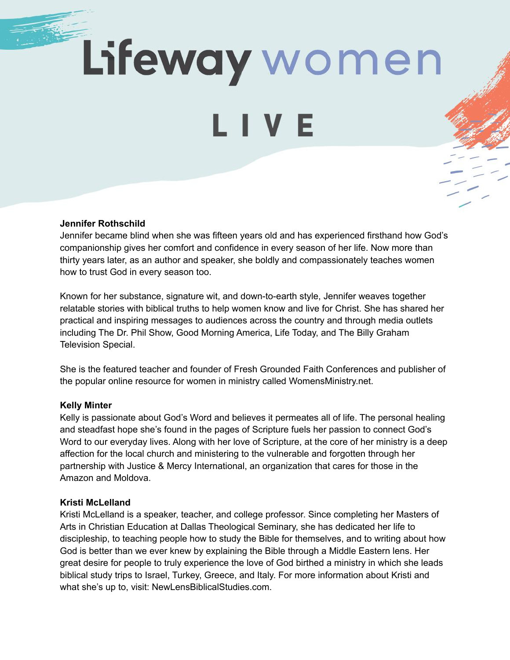Lifeway women

LIVE

#### **Jennifer Rothschild**

Jennifer became blind when she was fifteen years old and has experienced firsthand how God's companionship gives her comfort and confidence in every season of her life. Now more than thirty years later, as an author and speaker, she boldly and compassionately teaches women how to trust God in every season too.

Known for her substance, signature wit, and down-to-earth style, Jennifer weaves together relatable stories with biblical truths to help women know and live for Christ. She has shared her practical and inspiring messages to audiences across the country and through media outlets including The Dr. Phil Show, Good Morning America, Life Today, and The Billy Graham Television Special.

She is the featured teacher and founder of Fresh Grounded Faith Conferences and publisher of the popular online resource for women in ministry called WomensMinistry.net.

#### **Kelly Minter**

Kelly is passionate about God's Word and believes it permeates all of life. The personal healing and steadfast hope she's found in the pages of Scripture fuels her passion to connect God's Word to our everyday lives. Along with her love of Scripture, at the core of her ministry is a deep affection for the local church and ministering to the vulnerable and forgotten through her partnership with Justice & Mercy International, an organization that cares for those in the Amazon and Moldova.

#### **Kristi McLelland**

Kristi McLelland is a speaker, teacher, and college professor. Since completing her Masters of Arts in Christian Education at Dallas Theological Seminary, she has dedicated her life to discipleship, to teaching people how to study the Bible for themselves, and to writing about how God is better than we ever knew by explaining the Bible through a Middle Eastern lens. Her great desire for people to truly experience the love of God birthed a ministry in which she leads biblical study trips to Israel, Turkey, Greece, and Italy. For more information about Kristi and what she's up to, visit: NewLensBiblicalStudies.com.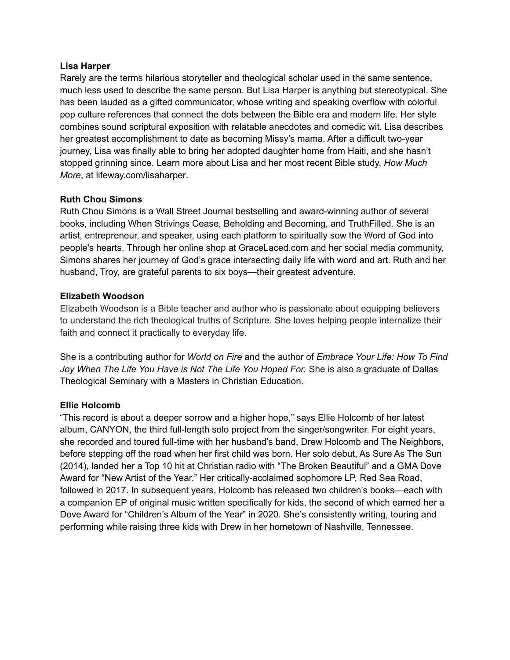### **Lisa Harper**

Rarely are the terms hilarious storyteller and theological scholar used in the same sentence, much less used to describe the same person. But Lisa Harper is anything but stereotypical. She has been lauded as a gifted communicator, whose writing and speaking overflow with colorful pop culture references that connect the dots between the Bible era and modern life. Her style combines sound scriptural exposition with relatable anecdotes and comedic wit. Lisa describes her greatest accomplishment to date as becoming Missy's mama. After a difficult two-year journey, Lisa was finally able to bring her adopted daughter home from Haiti, and she hasn't stopped grinning since. Learn more about Lisa and her most recent Bible study, *How Much More*, at lifeway.com/lisaharper.

# **Ruth Chou Simons**

Ruth Chou Simons is a Wall Street Journal bestselling and award-winning author of several books, including When Strivings Cease, Beholding and Becoming, and TruthFilled. She is an artist, entrepreneur, and speaker, using each platform to spiritually sow the Word of God into people's hearts. Through her online shop at GraceLaced.com and her social media community, Simons shares her journey of God's grace intersecting daily life with word and art. Ruth and her husband, Troy, are grateful parents to six boys—their greatest adventure.

# **Elizabeth Woodson**

Elizabeth Woodson is a Bible teacher and author who is passionate about equipping believers to understand the rich theological truths of Scripture. She loves helping people internalize their faith and connect it practically to everyday life.

She is a contributing author for *World on Fire* and the author of *Embrace Your Life: How To Find Joy When The Life You Have is Not The Life You Hoped For.* She is also a graduate of Dallas Theological Seminary with a Masters in Christian Education.

# **Ellie Holcomb**

"This record is about a deeper sorrow and a higher hope," says Ellie Holcomb of her latest album, CANYON, the third full-length solo project from the singer/songwriter. For eight years, she recorded and toured full-time with her husband's band, Drew Holcomb and The Neighbors, before stepping off the road when her first child was born. Her solo debut, As Sure As The Sun (2014), landed her a Top 10 hit at Christian radio with "The Broken Beautiful" and a GMA Dove Award for "New Artist of the Year." Her critically-acclaimed sophomore LP, Red Sea Road, followed in 2017. In subsequent years, Holcomb has released two children's books—each with a companion EP of original music written specifically for kids, the second of which earned her a Dove Award for "Children's Album of the Year" in 2020. She's consistently writing, touring and performing while raising three kids with Drew in her hometown of Nashville, Tennessee.